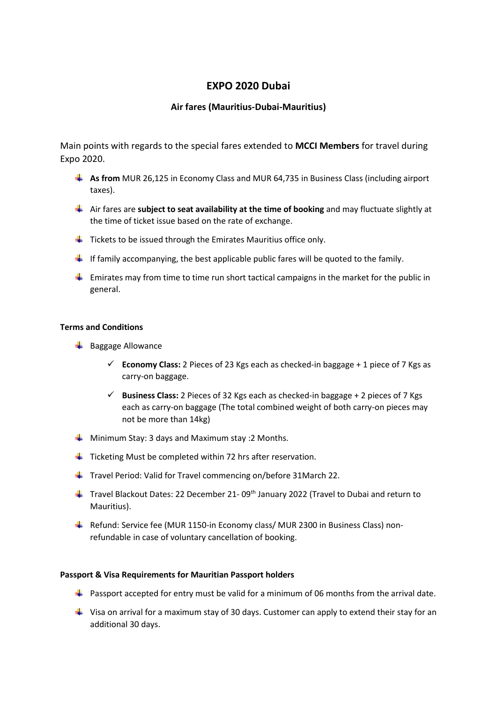# **EXPO 2020 Dubai**

## **Air fares (Mauritius-Dubai-Mauritius)**

Main points with regards to the special fares extended to **MCCI Members** for travel during Expo 2020.

- **As from** MUR 26,125 in Economy Class and MUR 64,735 in Business Class (including airport taxes).
- Air fares are **subject to seat availability at the time of booking** and may fluctuate slightly at the time of ticket issue based on the rate of exchange.
- $\ddot{+}$  Tickets to be issued through the Emirates Mauritius office only.
- If family accompanying, the best applicable public fares will be quoted to the family.
- $\ddot{\phantom{1}}$  Emirates may from time to time run short tactical campaigns in the market for the public in general.

### **Terms and Conditions**

- $\frac{1}{2}$  Baggage Allowance
	- **Economy Class:** 2 Pieces of 23 Kgs each as checked-in baggage  $+1$  piece of 7 Kgs as carry-on baggage.
	- **Business Class:** 2 Pieces of 32 Kgs each as checked-in baggage + 2 pieces of 7 Kgs each as carry-on baggage (The total combined weight of both carry-on pieces may not be more than 14kg)
- **Winimum Stay: 3 days and Maximum stay: 2 Months.**
- $\frac{1}{\sqrt{1}}$  Ticketing Must be completed within 72 hrs after reservation.
- $\ddot{+}$  Travel Period: Valid for Travel commencing on/before 31March 22.
- $\ddot{+}$  Travel Blackout Dates: 22 December 21-09<sup>th</sup> January 2022 (Travel to Dubai and return to Mauritius).
- Refund: Service fee (MUR 1150-in Economy class/ MUR 2300 in Business Class) nonrefundable in case of voluntary cancellation of booking.

#### **Passport & Visa Requirements for Mauritian Passport holders**

- **Passport accepted for entry must be valid for a minimum of 06 months from the arrival date.**
- $\ddot{\phantom{1}}$  Visa on arrival for a maximum stay of 30 days. Customer can apply to extend their stay for an additional 30 days.